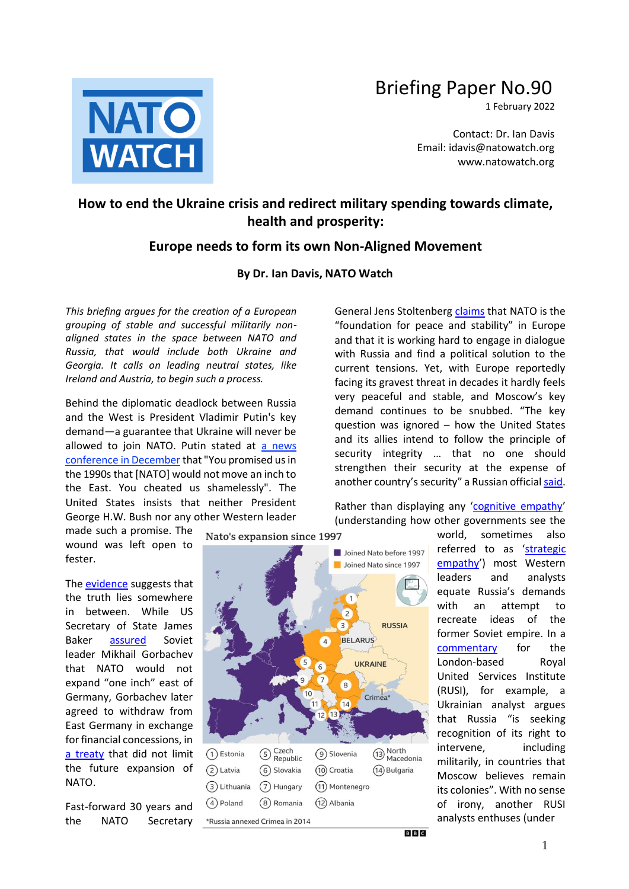

## Briefing Paper No.90

1 February 2022

Contact: Dr. Ian Davis Email[: idavis@natowatch.org](mailto:idavis@natowatch.org) [www.natowatch.org](http://www.natowatch.org/)

## **How to end the Ukraine crisis and redirect military spending towards climate, health and prosperity:**

## **Europe needs to form its own Non-Aligned Movement**

**By Dr. Ian Davis, NATO Watch**

*This briefing argues for the creation of a European grouping of stable and successful militarily nonaligned states in the space between NATO and Russia, that would include both Ukraine and Georgia. It calls on leading neutral states, like Ireland and Austria, to begin such a process.*

Behind the diplomatic deadlock between Russia and the West is President Vladimir Putin's key demand—a guarantee that Ukraine will never be allowed to join NATO. Putin stated at [a news](http://en.kremlin.ru/events/president/transcripts/press_conferences/67438)  [conference in December](http://en.kremlin.ru/events/president/transcripts/press_conferences/67438) that "You promised us in the 1990s that [NATO] would not move an inch to the East. You cheated us shamelessly". The United States insists that neither President George H.W. Bush nor any other Western leader

made such a promise. The wound was left open to fester.

The [evidence](https://www.npr.org/2022/01/29/1076193616/ukraine-crisis-russia-history-nato-expansion) suggests that the truth lies somewhere in between. While US Secretary of State James Baker [assured](https://nsarchive.gwu.edu/briefing-book/russia-programs/2017-12-12/nato-expansion-what-gorbachev-heard-western-leaders-early) Soviet leader Mikhail Gorbachev that NATO would not expand "one inch" east of Germany, Gorbachev later agreed to withdraw from East Germany in exchange for financial concessions, in [a treaty](https://usa.usembassy.de/etexts/2plusfour8994e.htm) that did not limit the future expansion of NATO.

Fast-forward 30 years and the NATO Secretary



General Jens Stoltenberg [claims](https://www.nato.int/cps/en/natohq/news_191315.htm) that NATO is the "foundation for peace and stability" in Europe and that it is working hard to engage in dialogue with Russia and find a political solution to the current tensions. Yet, with Europe reportedly facing its gravest threat in decades it hardly feels very peaceful and stable, and Moscow's key demand continues to be snubbed. "The key question was ignored – how the United States and its allies intend to follow the principle of security integrity ... that no one should strengthen their security at the expense of another country's security" a Russian official [said.](https://www.aljazeera.com/news/2022/1/28/putin-west-has-not-addressed-main-concerns-in-ukraine-standoff)

Rather than displaying any '[cognitive empathy](https://responsiblestatecraft.org/2022/01/29/how-cognitive-empathy-could-have-prevented-the-ukraine-crisis/)' (understanding how other governments see the

> world, sometimes also referred to as '[strategic](https://www.theamericanconservative.com/state-of-the-union/how-strategic-empathy-makes-for-wiser-foreign-policy/)  [empathy](https://www.theamericanconservative.com/state-of-the-union/how-strategic-empathy-makes-for-wiser-foreign-policy/)') most Western leaders and analysts equate Russia's demands with an attempt to recreate ideas of the former Soviet empire. In a [commentary](https://rusi.org/explore-our-research/publications/commentary/russias-demands-its-not-about-ukraine-its-about-recreating-empire) for the London-based Royal United Services Institute (RUSI), for example, a Ukrainian analyst argues that Russia "is seeking recognition of its right to intervene, including militarily, in countries that Moscow believes remain its colonies". With no sense of irony, another RUSI analysts enthuses (under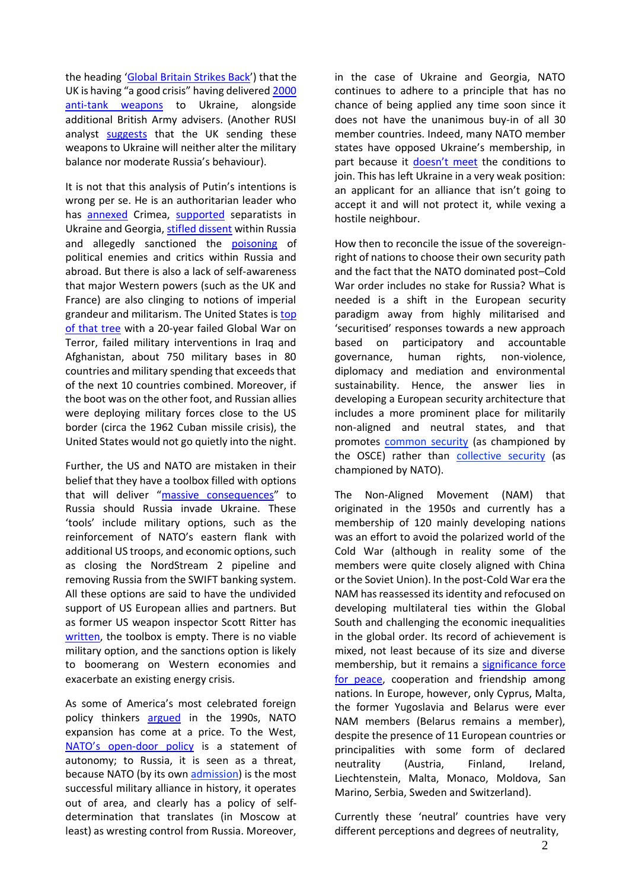the heading '[Global Britain Strikes Back](https://rusi.org/explore-our-research/publications/commentary/global-britain-strikes-back)') that the UK is having "a good crisis" having delivered [2000](https://news.sky.com/story/russia-invasion-fears-as-britain-sends-2-000-anti-tank-weapons-to-ukraine-12520950)  [anti-tank weapons](https://news.sky.com/story/russia-invasion-fears-as-britain-sends-2-000-anti-tank-weapons-to-ukraine-12520950) to Ukraine, alongside additional British Army advisers. (Another RUSI analyst [suggests](https://rusi.org/explore-our-research/publications/commentary/what-do-uk-weapons-deliveries-add-ukraines-armed-forces) that the UK sending these weapons to Ukraine will neither alter the military balance nor moderate Russia's behaviour).

It is not that this analysis of Putin's intentions is wrong per se. He is an authoritarian leader who has [annexed](https://www.brookings.edu/blog/order-from-chaos/2020/03/17/crimea-six-years-after-illegal-annexation/) Crimea, [supported](https://www.rferl.org/a/russia-ukraine-donetsk-luhansk-/31479593.html) separatists in Ukraine and Georgia, [stifled dissent](https://www.economist.com/interactive/repression-in-putins-russia/) within Russia and allegedly sanctioned the [poisoning](https://www.washingtonpost.com/world/2020/08/21/why-poison-is-weapon-choice-putins-russia/) of political enemies and critics within Russia and abroad. But there is also a lack of self-awareness that major Western powers (such as the UK and France) are also clinging to notions of imperial grandeur and militarism. The United States is top [of that tree](https://www.aljazeera.com/news/2021/9/10/infographic-us-military-presence-around-the-world-interactive) with a 20-year failed Global War on Terror, failed military interventions in Iraq and Afghanistan, about 750 military bases in 80 countries and military spending that exceeds that of the next 10 countries combined. Moreover, if the boot was on the other foot, and Russian allies were deploying military forces close to the US border (circa the 1962 Cuban missile crisis), the United States would not go quietly into the night.

Further, the US and NATO are mistaken in their belief that they have a toolbox filled with options that will deliver "[massive consequences](https://www.aljazeera.com/news/2022/1/7/blinken-warns-russia-of-massive-consequences-over-ukraine)" to Russia should Russia invade Ukraine. These 'tools' include military options, such as the reinforcement of NATO's eastern flank with additional US troops, and economic options, such as closing the NordStream 2 pipeline and removing Russia from the SWIFT banking system. All these options are said to have the undivided support of US European allies and partners. But as former US weapon inspector Scott Ritter has [written,](https://consortiumnews.com/2022/01/22/ukraine-crisis-us-toolboxes-are-empty/) the toolbox is empty. There is no viable military option, and the sanctions option is likely to boomerang on Western economies and exacerbate an existing energy crisis.

As some of America's most celebrated foreign policy thinkers [argued](https://www.nytimes.com/1997/02/05/opinion/a-fateful-error.html) in the 1990s, NATO expansion has come at a price. To the West, [NATO's open](https://www.nato.int/docu/comm/1999/9904-wsh/pres-eng/04open.pdf)-door policy is a statement of autonomy; to Russia, it is seen as a threat, because NATO (by its own [admission\)](https://www.nato.int/cps/en/natohq/news_191315.htm) is the most successful military alliance in history, it operates out of area, and clearly has a policy of selfdetermination that translates (in Moscow at least) as wresting control from Russia. Moreover,

in the case of Ukraine and Georgia, NATO continues to adhere to a principle that has no chance of being applied any time soon since it does not have the unanimous buy-in of all 30 member countries. Indeed, many NATO member states have opposed Ukraine's membership, in part because it [doesn't meet](https://www.nytimes.com/2022/01/13/us/politics/nato-ukraine.html) the conditions to join. This has left Ukraine in a very weak position: an applicant for an alliance that isn't going to accept it and will not protect it, while vexing a hostile neighbour.

How then to reconcile the issue of the sovereignright of nations to choose their own security path and the fact that the NATO dominated post–Cold War order includes no stake for Russia? What is needed is a shift in the European security paradigm away from highly militarised and 'securitised' responses towards a new approach based on participatory and accountable governance, human rights, non-violence, diplomacy and mediation and environmental sustainability. Hence, the answer lies in developing a European security architecture that includes a more prominent place for militarily non-aligned and neutral states, and that promotes [common security](https://www.ipb.org/yesterdays-news/common-security-approaches-to-resolve-the-ukraine-and-european-crises/) (as championed by the OSCE) rather than [collective security](https://www.atlanticcouncil.org/event/enhancing-natos-collective-defense/) (as championed by NATO).

The Non-Aligned Movement (NAM) that originated in the 1950s and currently has a membership of 120 mainly developing nations was an effort to avoid the polarized world of the Cold War (although in reality some of the members were quite closely aligned with China or the Soviet Union). In the post-Cold War era the NAM has reassessed its identity and refocused on developing multilateral ties within the Global South and challenging the economic inequalities in the global order. Its record of achievement is mixed, not least because of its size and diverse membership, but it remains a [significance force](https://www.lowyinstitute.org/the-interpreter/there-life-non-alignment-movement-yet)  [for peace,](https://www.lowyinstitute.org/the-interpreter/there-life-non-alignment-movement-yet) cooperation and friendship among nations. In Europe, however, only Cyprus, Malta, the former Yugoslavia and Belarus were ever NAM members (Belarus remains a member), despite the presence of 11 European countries or principalities with some form of declared neutrality (Austria, Finland, Ireland, Liechtenstein, Malta, Monaco, Moldova, San Marino, Serbia, Sweden and Switzerland).

Currently these 'neutral' countries have very different perceptions and degrees of neutrality,